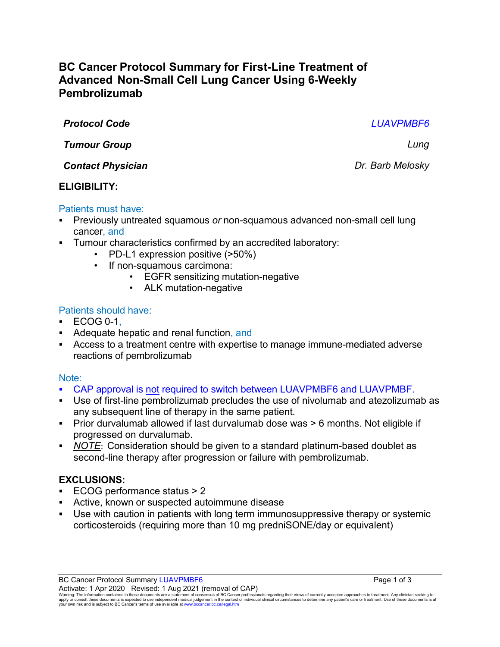# **BC Cancer Protocol Summary for First-Line Treatment of Advanced Non-Small Cell Lung Cancer Using 6-Weekly Pembrolizumab**

*Protocol Code LUAVPMBF6*

*Tumour Group Lung*

*Contact Physician Dr. Barb Melosky*

# **ELIGIBILITY:**

# Patients must have:

- Previously untreated squamous *or* non-squamous advanced non-small cell lung cancer, and
- **Tumour characteristics confirmed by an accredited laboratory:** 
	- PD-L1 expression positive (>50%)
	- If non-squamous carcimona:
		- EGFR sensitizing mutation-negative
		- ALK mutation-negative

# Patients should have:

- $\cdot$  ECOG 0-1.
- Adequate hepatic and renal function, and
- Access to a treatment centre with expertise to manage immune-mediated adverse reactions of pembrolizumab

# Note:

- CAP approval is not required to switch between LUAVPMBF6 and LUAVPMBF.
- Use of first-line pembrolizumab precludes the use of nivolumab and atezolizumab as any subsequent line of therapy in the same patient.
- Prior durvalumab allowed if last durvalumab dose was > 6 months. Not eligible if progressed on durvalumab.
- *NOTE*: Consideration should be given to a standard platinum-based doublet as second-line therapy after progression or failure with pembrolizumab.

# **EXCLUSIONS:**

- ECOG performance status > 2
- Active, known or suspected autoimmune disease
- Use with caution in patients with long term immunosuppressive therapy or systemic corticosteroids (requiring more than 10 mg predniSONE/day or equivalent)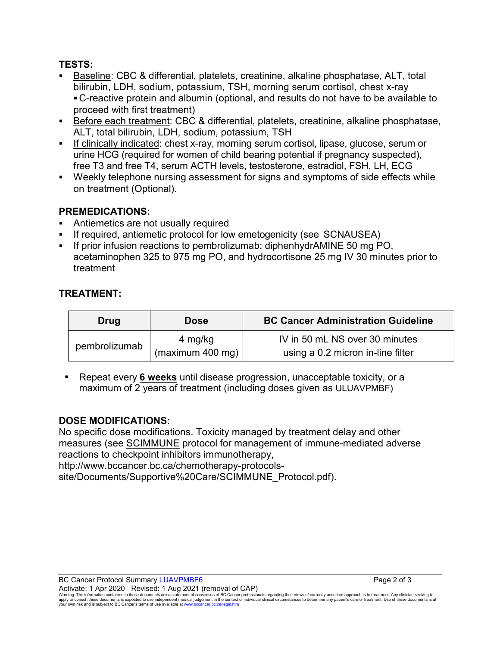#### **TESTS:**

- Baseline: CBC & differential, platelets, creatinine, alkaline phosphatase, ALT, total bilirubin, LDH, sodium, potassium, TSH, morning serum cortisol, chest x-ray C-reactive protein and albumin (optional, and results do not have to be available to proceed with first treatment)
- Before each treatment: CBC & differential, platelets, creatinine, alkaline phosphatase, ALT, total bilirubin, LDH, sodium, potassium, TSH
- If clinically indicated: chest x-ray, morning serum cortisol, lipase, glucose, serum or urine HCG (required for women of child bearing potential if pregnancy suspected), free T3 and free T4, serum ACTH levels, testosterone, estradiol, FSH, LH, ECG
- Weekly telephone nursing assessment for signs and symptoms of side effects while on treatment (Optional).

# **PREMEDICATIONS:**

- Antiemetics are not usually required
- If required, antiemetic protocol for low emetogenicity (see SCNAUSEA)
- If prior infusion reactions to pembrolizumab: diphenhydrAMINE 50 mg PO, acetaminophen 325 to 975 mg PO, and hydrocortisone 25 mg IV 30 minutes prior to treatment

### **TREATMENT:**

| Drug          | <b>Dose</b>      | <b>BC Cancer Administration Guideline</b> |
|---------------|------------------|-------------------------------------------|
| pembrolizumab | 4 mg/kg          | IV in 50 mL NS over 30 minutes            |
|               | (maximum 400 mg) | using a 0.2 micron in-line filter         |

 Repeat every **6 weeks** until disease progression, unacceptable toxicity, or a maximum of 2 years of treatment (including doses given as ULUAVPMBF)

#### **DOSE MODIFICATIONS:**

No specific dose modifications. Toxicity managed by treatment delay and other measures (see [SCIMMUNE](http://www.bccancer.bc.ca/chemotherapy-protocols-site/Documents/Supportive%20Care/SCIMMUNE_Protocol.pdf) protocol for management of immune-mediated adverse reactions to checkpoint inhibitors immunotherapy,

http://www.bccancer.bc.ca/chemotherapy-protocols-

site/Documents/Supportive%20Care/SCIMMUNE\_Protocol.pdf).

Warning: The information contained in these documents are a statement of consensus of BC Cancer professionals regarding their views of currently accepted approaches to treatment. Any clinician seeking to<br>apply or consult t